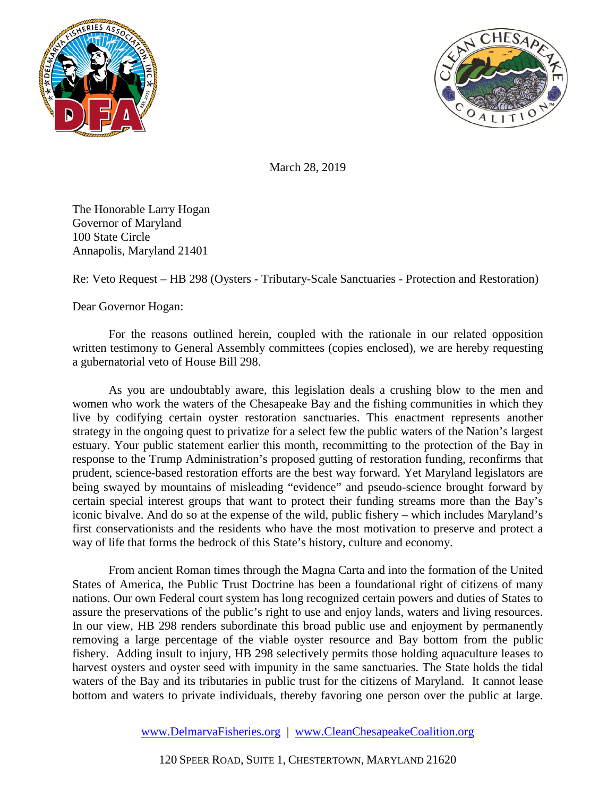



March 28, 2019

The Honorable Larry Hogan Governor of Maryland 100 State Circle Annapolis, Maryland 21401

Re: Veto Request – HB 298 (Oysters - Tributary-Scale Sanctuaries - Protection and Restoration)

Dear Governor Hogan:

For the reasons outlined herein, coupled with the rationale in our related opposition written testimony to General Assembly committees (copies enclosed), we are hereby requesting a gubernatorial veto of House Bill 298.

As you are undoubtably aware, this legislation deals a crushing blow to the men and women who work the waters of the Chesapeake Bay and the fishing communities in which they live by codifying certain oyster restoration sanctuaries. This enactment represents another strategy in the ongoing quest to privatize for a select few the public waters of the Nation's largest estuary. Your public statement earlier this month, recommitting to the protection of the Bay in response to the Trump Administration's proposed gutting of restoration funding, reconfirms that prudent, science-based restoration efforts are the best way forward. Yet Maryland legislators are being swayed by mountains of misleading "evidence" and pseudo-science brought forward by certain special interest groups that want to protect their funding streams more than the Bay's iconic bivalve. And do so at the expense of the wild, public fishery – which includes Maryland's first conservationists and the residents who have the most motivation to preserve and protect a way of life that forms the bedrock of this State's history, culture and economy.

From ancient Roman times through the Magna Carta and into the formation of the United States of America, the Public Trust Doctrine has been a foundational right of citizens of many nations. Our own Federal court system has long recognized certain powers and duties of States to assure the preservations of the public's right to use and enjoy lands, waters and living resources. In our view, HB 298 renders subordinate this broad public use and enjoyment by permanently removing a large percentage of the viable oyster resource and Bay bottom from the public fishery. Adding insult to injury, HB 298 selectively permits those holding aquaculture leases to harvest oysters and oyster seed with impunity in the same sanctuaries. The State holds the tidal waters of the Bay and its tributaries in public trust for the citizens of Maryland. It cannot lease bottom and waters to private individuals, thereby favoring one person over the public at large.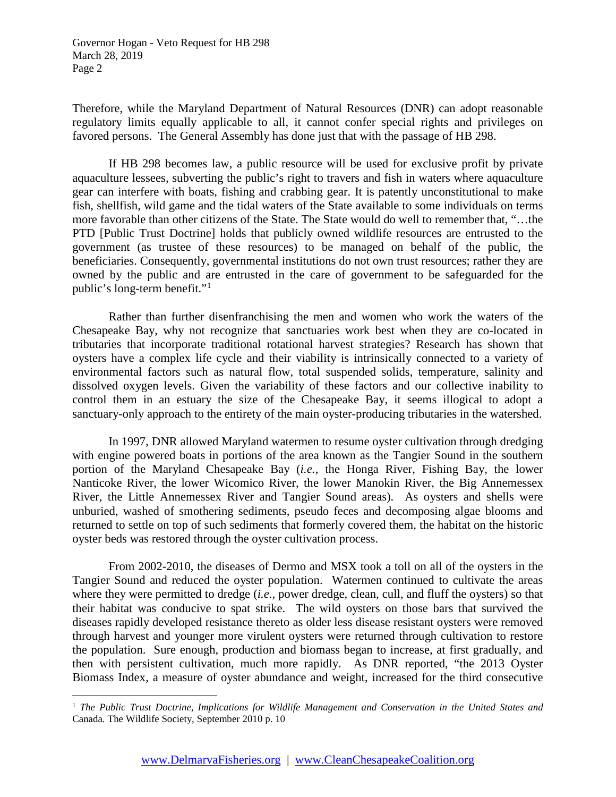Therefore, while the Maryland Department of Natural Resources (DNR) can adopt reasonable regulatory limits equally applicable to all, it cannot confer special rights and privileges on favored persons. The General Assembly has done just that with the passage of HB 298.

If HB 298 becomes law, a public resource will be used for exclusive profit by private aquaculture lessees, subverting the public's right to travers and fish in waters where aquaculture gear can interfere with boats, fishing and crabbing gear. It is patently unconstitutional to make fish, shellfish, wild game and the tidal waters of the State available to some individuals on terms more favorable than other citizens of the State. The State would do well to remember that, "…the PTD [Public Trust Doctrine] holds that publicly owned wildlife resources are entrusted to the government (as trustee of these resources) to be managed on behalf of the public, the beneficiaries. Consequently, governmental institutions do not own trust resources; rather they are owned by the public and are entrusted in the care of government to be safeguarded for the public's long-term benefit."[1](#page-1-0)

Rather than further disenfranchising the men and women who work the waters of the Chesapeake Bay, why not recognize that sanctuaries work best when they are co-located in tributaries that incorporate traditional rotational harvest strategies? Research has shown that oysters have a complex life cycle and their viability is intrinsically connected to a variety of environmental factors such as natural flow, total suspended solids, temperature, salinity and dissolved oxygen levels. Given the variability of these factors and our collective inability to control them in an estuary the size of the Chesapeake Bay, it seems illogical to adopt a sanctuary-only approach to the entirety of the main oyster-producing tributaries in the watershed.

In 1997, DNR allowed Maryland watermen to resume oyster cultivation through dredging with engine powered boats in portions of the area known as the Tangier Sound in the southern portion of the Maryland Chesapeake Bay (*i.e.*, the Honga River, Fishing Bay, the lower Nanticoke River, the lower Wicomico River, the lower Manokin River, the Big Annemessex River, the Little Annemessex River and Tangier Sound areas). As oysters and shells were unburied, washed of smothering sediments, pseudo feces and decomposing algae blooms and returned to settle on top of such sediments that formerly covered them, the habitat on the historic oyster beds was restored through the oyster cultivation process.

From 2002-2010, the diseases of Dermo and MSX took a toll on all of the oysters in the Tangier Sound and reduced the oyster population. Watermen continued to cultivate the areas where they were permitted to dredge (*i.e.*, power dredge, clean, cull, and fluff the oysters) so that their habitat was conducive to spat strike. The wild oysters on those bars that survived the diseases rapidly developed resistance thereto as older less disease resistant oysters were removed through harvest and younger more virulent oysters were returned through cultivation to restore the population. Sure enough, production and biomass began to increase, at first gradually, and then with persistent cultivation, much more rapidly. As DNR reported, "the 2013 Oyster Biomass Index, a measure of oyster abundance and weight, increased for the third consecutive

<span id="page-1-0"></span> <sup>1</sup> *The Public Trust Doctrine, Implications for Wildlife Management and Conservation in the United States and*  Canada. The Wildlife Society, September 2010 p. 10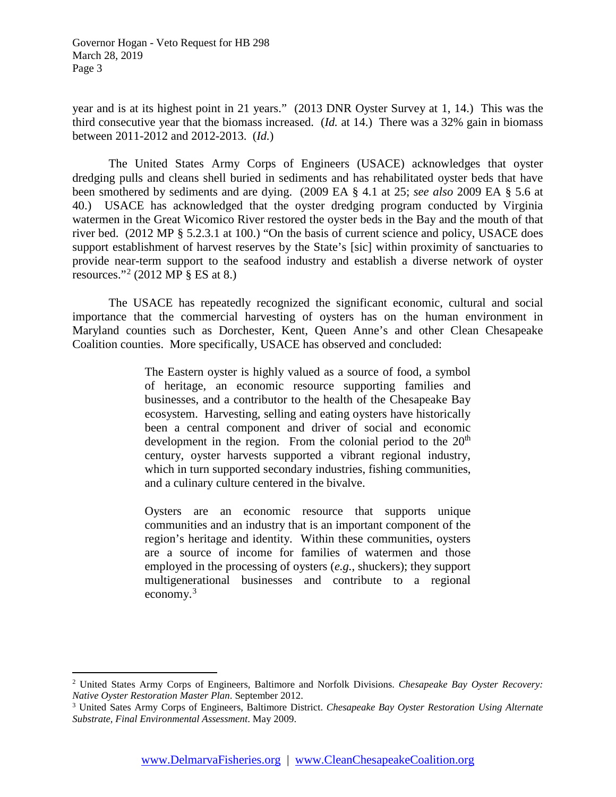year and is at its highest point in 21 years." (2013 DNR Oyster Survey at 1, 14.) This was the third consecutive year that the biomass increased. (*Id.* at 14.) There was a 32% gain in biomass between 2011-2012 and 2012-2013. (*Id.*)

The United States Army Corps of Engineers (USACE) acknowledges that oyster dredging pulls and cleans shell buried in sediments and has rehabilitated oyster beds that have been smothered by sediments and are dying. (2009 EA § 4.1 at 25; *see also* 2009 EA § 5.6 at 40.) USACE has acknowledged that the oyster dredging program conducted by Virginia watermen in the Great Wicomico River restored the oyster beds in the Bay and the mouth of that river bed. (2012 MP § 5.2.3.1 at 100.) "On the basis of current science and policy, USACE does support establishment of harvest reserves by the State's [sic] within proximity of sanctuaries to provide near-term support to the seafood industry and establish a diverse network of oyster resources."<sup>[2](#page-2-0)</sup> (2012 MP  $\S$  ES at 8.)

The USACE has repeatedly recognized the significant economic, cultural and social importance that the commercial harvesting of oysters has on the human environment in Maryland counties such as Dorchester, Kent, Queen Anne's and other Clean Chesapeake Coalition counties. More specifically, USACE has observed and concluded:

> The Eastern oyster is highly valued as a source of food, a symbol of heritage, an economic resource supporting families and businesses, and a contributor to the health of the Chesapeake Bay ecosystem. Harvesting, selling and eating oysters have historically been a central component and driver of social and economic development in the region. From the colonial period to the  $20<sup>th</sup>$ century, oyster harvests supported a vibrant regional industry, which in turn supported secondary industries, fishing communities, and a culinary culture centered in the bivalve.

> Oysters are an economic resource that supports unique communities and an industry that is an important component of the region's heritage and identity. Within these communities, oysters are a source of income for families of watermen and those employed in the processing of oysters (*e.g.*, shuckers); they support multigenerational businesses and contribute to a regional economy. $3$

<span id="page-2-0"></span> <sup>2</sup> United States Army Corps of Engineers, Baltimore and Norfolk Divisions. *Chesapeake Bay Oyster Recovery: Native Oyster Restoration Master Plan*. September 2012.

<span id="page-2-1"></span><sup>3</sup> United Sates Army Corps of Engineers, Baltimore District. *Chesapeake Bay Oyster Restoration Using Alternate Substrate, Final Environmental Assessment*. May 2009.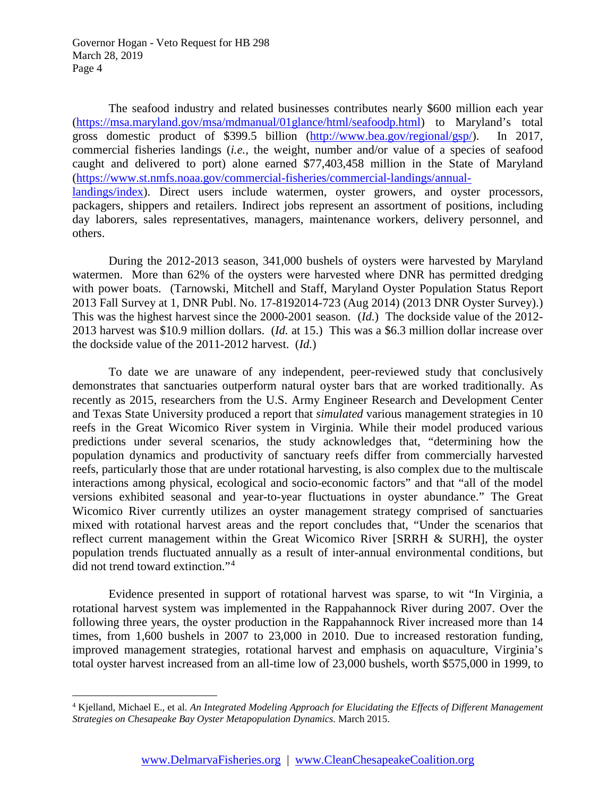The seafood industry and related businesses contributes nearly \$600 million each year [\(https://msa.maryland.gov/msa/mdmanual/01glance/html/seafoodp.html\)](https://msa.maryland.gov/msa/mdmanual/01glance/html/seafoodp.html) to Maryland's total gross domestic product of \$399.5 billion [\(http://www.bea.gov/regional/gsp/\)](http://www.bea.gov/regional/gsp/). In 2017, commercial fisheries landings (*i.e.*, the weight, number and/or value of a species of seafood caught and delivered to port) alone earned \$77,403,458 million in the State of Maryland [\(https://www.st.nmfs.noaa.gov/commercial-fisheries/commercial-landings/annual](https://www.st.nmfs.noaa.gov/commercial-fisheries/commercial-landings/annual-landings/index)[landings/index\)](https://www.st.nmfs.noaa.gov/commercial-fisheries/commercial-landings/annual-landings/index). Direct users include watermen, oyster growers, and oyster processors, packagers, shippers and retailers. Indirect jobs represent an assortment of positions, including day laborers, sales representatives, managers, maintenance workers, delivery personnel, and others.

During the 2012-2013 season, 341,000 bushels of oysters were harvested by Maryland watermen. More than 62% of the oysters were harvested where DNR has permitted dredging with power boats. (Tarnowski, Mitchell and Staff, Maryland Oyster Population Status Report 2013 Fall Survey at 1, DNR Publ. No. 17-8192014-723 (Aug 2014) (2013 DNR Oyster Survey).) This was the highest harvest since the 2000-2001 season. (*Id.*) The dockside value of the 2012- 2013 harvest was \$10.9 million dollars. (*Id.* at 15.) This was a \$6.3 million dollar increase over the dockside value of the 2011-2012 harvest. (*Id.*)

To date we are unaware of any independent, peer-reviewed study that conclusively demonstrates that sanctuaries outperform natural oyster bars that are worked traditionally. As recently as 2015, researchers from the U.S. Army Engineer Research and Development Center and Texas State University produced a report that *simulated* various management strategies in 10 reefs in the Great Wicomico River system in Virginia. While their model produced various predictions under several scenarios, the study acknowledges that, "determining how the population dynamics and productivity of sanctuary reefs differ from commercially harvested reefs, particularly those that are under rotational harvesting, is also complex due to the multiscale interactions among physical, ecological and socio-economic factors" and that "all of the model versions exhibited seasonal and year-to-year fluctuations in oyster abundance." The Great Wicomico River currently utilizes an oyster management strategy comprised of sanctuaries mixed with rotational harvest areas and the report concludes that, "Under the scenarios that reflect current management within the Great Wicomico River [SRRH & SURH], the oyster population trends fluctuated annually as a result of inter-annual environmental conditions, but did not trend toward extinction."[4](#page-3-0)

Evidence presented in support of rotational harvest was sparse, to wit "In Virginia, a rotational harvest system was implemented in the Rappahannock River during 2007. Over the following three years, the oyster production in the Rappahannock River increased more than 14 times, from 1,600 bushels in 2007 to 23,000 in 2010. Due to increased restoration funding, improved management strategies, rotational harvest and emphasis on aquaculture, Virginia's total oyster harvest increased from an all-time low of 23,000 bushels, worth \$575,000 in 1999, to

<span id="page-3-0"></span> <sup>4</sup> Kjelland, Michael E., et al. *An Integrated Modeling Approach for Elucidating the Effects of Different Management Strategies on Chesapeake Bay Oyster Metapopulation Dynamics*. March 2015.